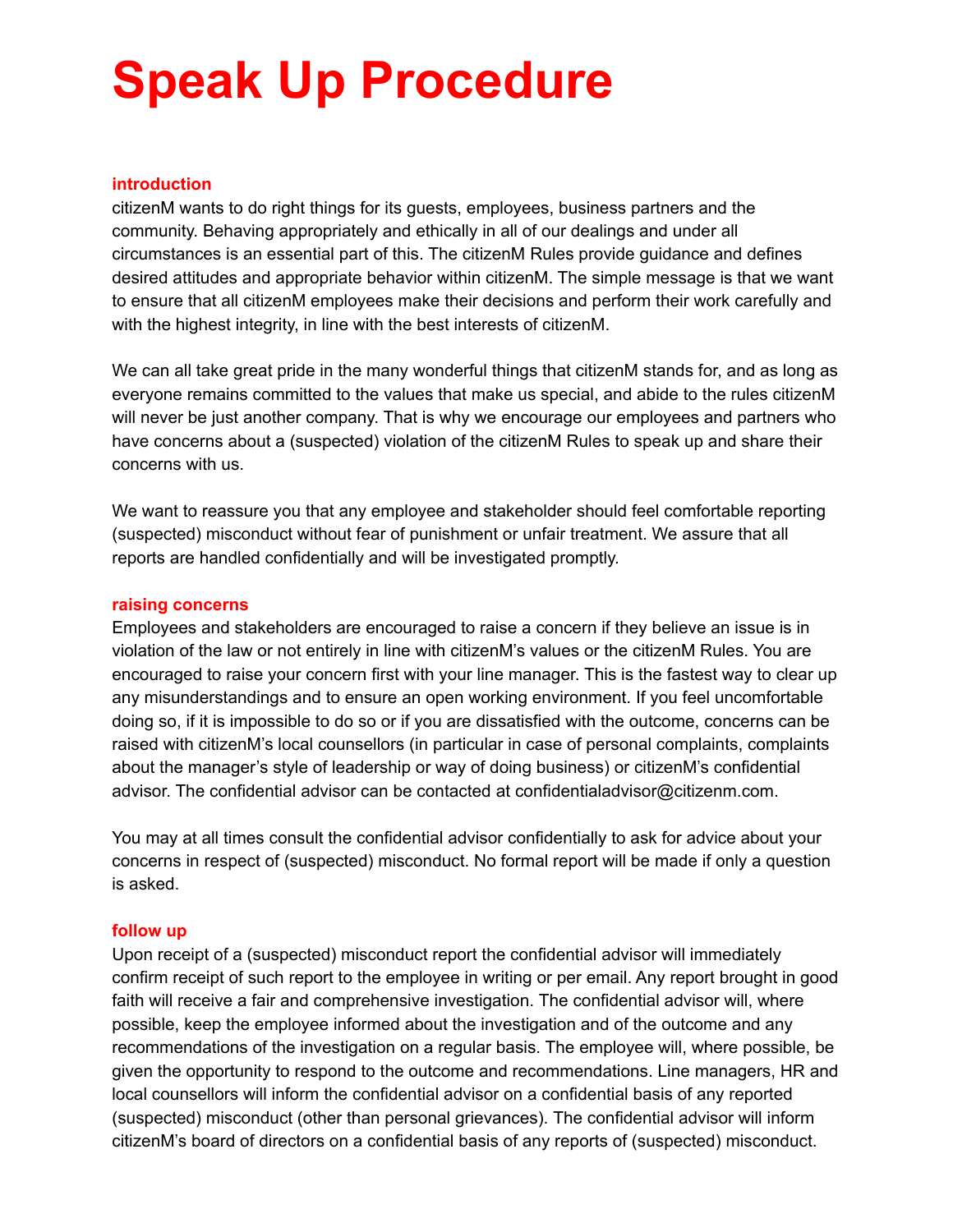# **Speak Up Procedure**

## **introduction**

citizenM wants to do right things for its guests, employees, business partners and the community. Behaving appropriately and ethically in all of our dealings and under all circumstances is an essential part of this. The citizenM Rules provide guidance and defines desired attitudes and appropriate behavior within citizenM. The simple message is that we want to ensure that all citizenM employees make their decisions and perform their work carefully and with the highest integrity, in line with the best interests of citizenM.

We can all take great pride in the many wonderful things that citizenM stands for, and as long as everyone remains committed to the values that make us special, and abide to the rules citizenM will never be just another company. That is why we encourage our employees and partners who have concerns about a (suspected) violation of the citizenM Rules to speak up and share their concerns with us.

We want to reassure you that any employee and stakeholder should feel comfortable reporting (suspected) misconduct without fear of punishment or unfair treatment. We assure that all reports are handled confidentially and will be investigated promptly.

## **raising concerns**

Employees and stakeholders are encouraged to raise a concern if they believe an issue is in violation of the law or not entirely in line with citizenM's values or the citizenM Rules. You are encouraged to raise your concern first with your line manager. This is the fastest way to clear up any misunderstandings and to ensure an open working environment. If you feel uncomfortable doing so, if it is impossible to do so or if you are dissatisfied with the outcome, concerns can be raised with citizenM's local counsellors (in particular in case of personal complaints, complaints about the manager's style of leadership or way of doing business) or citizenM's confidential advisor. The confidential advisor can be contacted at confidentialadvisor@citizenm.com.

You may at all times consult the confidential advisor confidentially to ask for advice about your concerns in respect of (suspected) misconduct. No formal report will be made if only a question is asked.

# **follow up**

Upon receipt of a (suspected) misconduct report the confidential advisor will immediately confirm receipt of such report to the employee in writing or per email. Any report brought in good faith will receive a fair and comprehensive investigation. The confidential advisor will, where possible, keep the employee informed about the investigation and of the outcome and any recommendations of the investigation on a regular basis. The employee will, where possible, be given the opportunity to respond to the outcome and recommendations. Line managers, HR and local counsellors will inform the confidential advisor on a confidential basis of any reported (suspected) misconduct (other than personal grievances). The confidential advisor will inform citizenM's board of directors on a confidential basis of any reports of (suspected) misconduct.